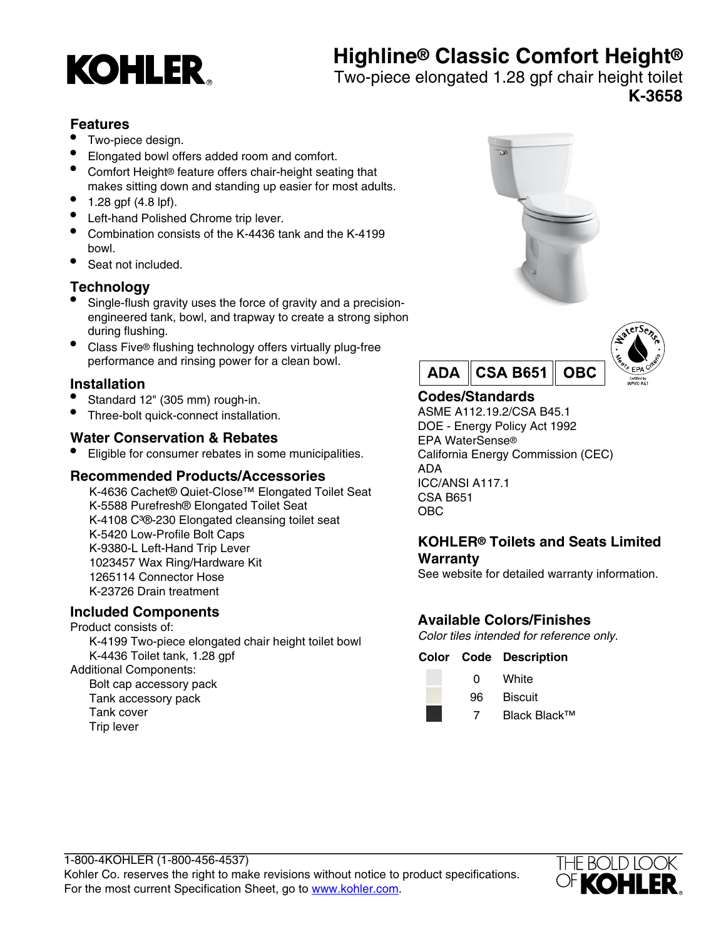# **Highline® Classic Comfort Height®**



Two-piece elongated 1.28 gpf chair height toilet

**K-3658**

## **Features**

- Two-piece design.
- Elongated bowl offers added room and comfort.
- Comfort Height® feature offers chair-height seating that makes sitting down and standing up easier for most adults.
- $1.28$  gpf (4.8 lpf).
- Left-hand Polished Chrome trip lever.
- Combination consists of the K-4436 tank and the K-4199 bowl.
- Seat not included.

## **Technology**

- Single-flush gravity uses the force of gravity and a precisionengineered tank, bowl, and trapway to create a strong siphon during flushing.
- Class Five® flushing technology offers virtually plug-free performance and rinsing power for a clean bowl.

## **Installation**

- Standard 12" (305 mm) rough-in.
- Three-bolt quick-connect installation.

## **Water Conservation & Rebates**

• Eligible for consumer rebates in some municipalities.

#### **Recommended Products/Accessories**

K-4636 Cachet® Quiet-Close™ Elongated Toilet Seat K-5588 Purefresh® Elongated Toilet Seat K-4108 C<sup>3</sup>®-230 Elongated cleansing toilet seat K-5420 Low-Profile Bolt Caps K-9380-L Left-Hand Trip Lever 1023457 Wax Ring/Hardware Kit 1265114 Connector Hose K-23726 Drain treatment

## **Included Components**

Product consists of: K-4199 Two-piece elongated chair height toilet bowl K-4436 Toilet tank, 1.28 gpf

Additional Components:

Bolt cap accessory pack Tank accessory pack Tank cover Trip lever





## **Codes/Standards**

ASME A112.19.2/CSA B45.1 DOE - Energy Policy Act 1992 EPA WaterSense® California Energy Commission (CEC) ADA ICC/ANSI A117.1 CSA B651 OBC

## **KOHLER® Toilets and Seats Limited Warranty**

See website for detailed warranty information.

## **Available Colors/Finishes**

Color tiles intended for reference only.

#### **Color Code Description**

- 0 White 96 Biscuit
	- 7 Black Black™